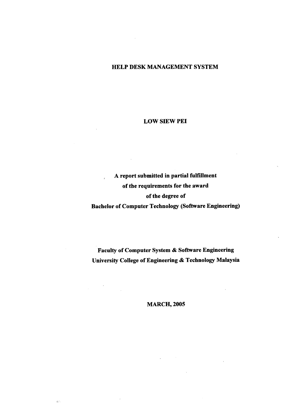## HELP **DESK MANAGEMENT SYSTEM**

## **LOW SlEW PEI**

# **A report submitted in partial fulfillment of the requirements for the award of the degree of Bachelor of Computer Technology (Software Engineering)**

**Faculty of Computer System & Software Engineering University College of Engineering & Technology Malaysia** 

**MARCH, 2005**

 $\frac{1}{2}$ 

 $\mathbf{g}_\mathrm{S}^{\mathrm{obs}}$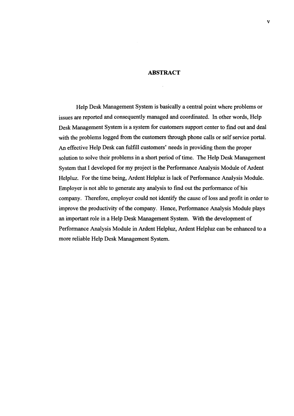#### **ABSTRACT**

Help Desk Management System is basically a central point where problems or issues are reported and consequently managed and coordinated. in other words, Help Desk Management System is a system for customers support center to find out and deal with the problems logged from the customers through phone calls or self service portal. An effective Help Desk can fulfill customers' needs in providing them the proper solution to solve their problems in a short period of time. The Help Desk Management System that I developed for my project is the Performance Analysis Module of Ardent Helpluz. For the time being, Ardent Helpluz is lack of Performance Analysis Module. Employer is not able to generate any analysis to find out the performance of his company. Therefore, employer could not identify the cause of loss and profit in order to improve the productivity of the company. Hence, Performance Analysis Module plays an important role in a Help Desk Management System. With the development of Performance Analysis Module in Ardent Helpluz, Ardent Helpluz can be enhanced to a more reliable Help Desk Management System.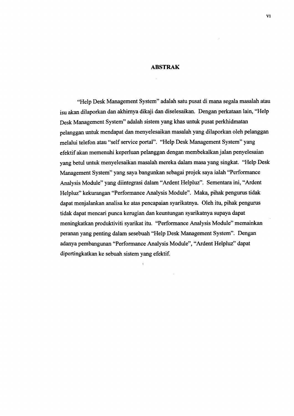#### **ABSTRAK**

"Help Desk Management System" adalah satu pusat di mana segala masalah atau isu akan dilaporkan dan akhirnya dikaji dan diselesaikan. Dengan perkataan lain, "Help Desk Management System" adalah sistem yang khas untuk pusat perkhidmatan pelanggan untuk mendapat dan menyelesaikan masalah yang dilaporkan oleh pelanggan melalui telefon atau "self service portal". "Help Desk Management System" yang efektif akan memenuhi keperluan pelanggan dengan membekalkan jalan penyelesaian yang betul untuk menyelesaikan masalah mereka dalam masa yang singkat. "Help Desk Management System" yang saya bangunkan sebagai projek saya ialah "Performance Analysis Module" yang diintegrasi dalam "Ardent Helpluz". Sementara ini, "Ardent Helpluz" kekurangan "Performance Analysis Module". Maka, pihak pengurus tidak dapat menjalankan analisa ke atas pencapaian syarikatnya. Oleh itu, pihak pengurus tidak dapat mencari punca kerugian dan keuntungan syarikatnya supaya dapat meningkatkan produktiviti syarikat itu. "Performance Analysis Module" memainkan peranan yang penting dalam sesebuah "Help Desk Management System". Dengan adanya pembangunan "Performance Analysis Module", "Ardent Helpluz" dapat dipertingkatkan ke sebuah sistem yang efektif.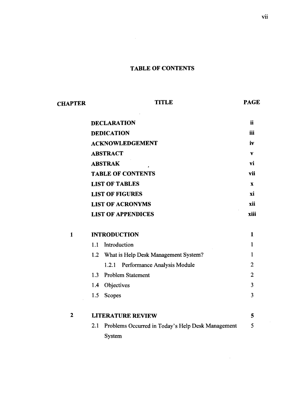# **TABLE OF CONTENTS**

| <b>CHAPTER</b> | <b>TITLE</b>                                             |                |  |
|----------------|----------------------------------------------------------|----------------|--|
|                | <b>DECLARATION</b>                                       | <b>ii</b>      |  |
|                | <b>DEDICATION</b>                                        | iii            |  |
|                | <b>ACKNOWLEDGEMENT</b>                                   | iv             |  |
|                | <b>ABSTRACT</b>                                          | V              |  |
|                | <b>ABSTRAK</b>                                           | vi             |  |
|                | <b>TABLE OF CONTENTS</b>                                 | vii            |  |
|                | <b>LIST OF TABLES</b>                                    | $\mathbf x$    |  |
|                | <b>LIST OF FIGURES</b>                                   | xi             |  |
|                | <b>LIST OF ACRONYMS</b>                                  | xii            |  |
|                | <b>LIST OF APPENDICES</b>                                | xiii           |  |
| $\mathbf{1}$   | <b>INTRODUCTION</b>                                      |                |  |
|                | Introduction<br>1.1                                      | 1              |  |
|                | 1.2<br>What is Help Desk Management System?              | 1              |  |
|                | Performance Analysis Module<br>1.2.1                     | $\overline{2}$ |  |
|                | <b>Problem Statement</b><br>1.3                          | $\overline{2}$ |  |
|                | Objectives<br>1.4                                        | 3              |  |
|                | 1.5<br>Scopes                                            | 3              |  |
| $\overline{2}$ | <b>LITERATURE REVIEW</b>                                 | 5              |  |
|                | 2.1<br>Problems Occurred in Today's Help Desk Management | 5              |  |
|                | System                                                   |                |  |

 $\mathcal{A}^{\mathcal{A}}$ 

 $\sim 10^{-1}$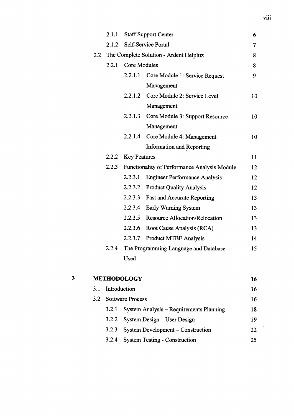|   |     | 2.1.1 |                     | <b>Staff Support Center</b>                  | 6              |
|---|-----|-------|---------------------|----------------------------------------------|----------------|
|   |     | 2.1.2 |                     | Self-Service Portal                          | $\overline{7}$ |
|   | 2.2 |       |                     | The Complete Solution - Ardent Helpluz       |                |
|   |     | 2.2.1 | <b>Core Modules</b> |                                              | 8              |
|   |     |       | 2.2.1.1             | Core Module 1: Service Request               | 9              |
|   |     |       |                     | Management                                   |                |
|   |     |       |                     | 2.2.1.2 Core Module 2: Service Level         | 10             |
|   |     |       |                     | Management                                   |                |
|   |     |       | 2.2.1.3             | Core Module 3: Support Resource              | 10             |
|   |     |       |                     | Management                                   |                |
|   |     |       | 2.2.1.4             | Core Module 4: Management                    | 10             |
|   |     |       |                     | <b>Information and Reporting</b>             |                |
|   |     | 2.2.2 | <b>Key Features</b> |                                              | 11             |
|   |     | 2.2.3 |                     | Functionality of Performance Analysis Module | 12             |
|   |     |       | 2.2.3.1             | <b>Engineer Performance Analysis</b>         | 12             |
|   |     |       | 2.2.3.2             | <b>Product Quality Analysis</b>              | 12             |
|   |     |       | 2.2.3.3             | <b>Fast and Accurate Reporting</b>           | 13             |
|   |     |       | 2.2.3.4             | Early Warning System                         | 13             |
|   |     |       | 2.2.3.5             | <b>Resource Allocation/Relocation</b>        | 13             |
|   |     |       | 2.2.3.6             | Root Cause Analysis (RCA)                    | 13             |
|   |     |       | 2.2.3.7             | <b>Product MTBF Analysis</b>                 | 14             |
|   |     | 2.2.4 |                     | The Programming Language and Database        | 15             |
|   |     |       | <b>Used</b>         |                                              |                |
| 3 |     |       | <b>METHODOLOGY</b>  |                                              | 16             |
|   |     |       |                     |                                              |                |

|                  |                                         | -- |
|------------------|-----------------------------------------|----|
| 3.1 Introduction |                                         | 16 |
|                  | 3.2 Software Process                    | 16 |
| 3.2.1            | System Analysis – Requirements Planning | 18 |
| 3.2.2            | System Design – User Design             | 19 |
| 3.2.3            | System Development – Construction       | 22 |
| 3.2.4            | <b>System Testing - Construction</b>    | 25 |
|                  |                                         |    |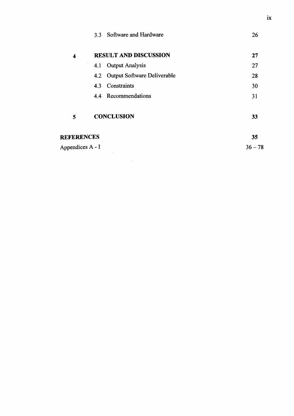|                   |                   | 3.3 Software and Hardware       | 26        |
|-------------------|-------------------|---------------------------------|-----------|
| 4                 |                   | <b>RESULT AND DISCUSSION</b>    | 27        |
|                   |                   | 4.1 Output Analysis             | 27        |
|                   |                   | 4.2 Output Software Deliverable | 28        |
|                   |                   | 4.3 Constraints                 | 30        |
|                   |                   | 4.4 Recommendations             | 31        |
| 5                 | <b>CONCLUSION</b> |                                 | 33        |
| <b>REFERENCES</b> |                   |                                 | 35        |
| Appendices A - I  |                   |                                 | $36 - 78$ |
|                   |                   |                                 |           |

 $\mathcal{L}^{\text{max}}_{\text{max}}$  ,  $\mathcal{L}^{\text{max}}_{\text{max}}$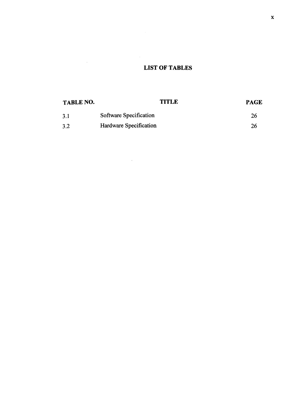# **LIST OF TABLES**

 $\sim 10^{-10}$ 

 $\mathcal{L}(\mathcal{A})$  and  $\mathcal{L}(\mathcal{A})$ 

 $\mathcal{L}^{\text{max}}_{\text{max}}$  ,  $\mathcal{L}^{\text{max}}_{\text{max}}$ 

| <b>TABLE NO.</b> | <b>TITLE</b>           | <b>PAGE</b> |
|------------------|------------------------|-------------|
| 3.1              | Software Specification | 26          |
| 3.2              | Hardware Specification | 26          |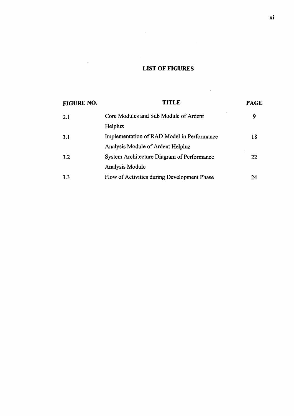# **LIST OF FIGURES**

 $\sim 10^{-1}$ 

| FIGURE NO. | <b>TITLE</b>                                | <b>PAGE</b> |
|------------|---------------------------------------------|-------------|
| 2.1        | Core Modules and Sub Module of Ardent       | 9           |
|            | Helpluz                                     |             |
| 3.1        | Implementation of RAD Model in Performance  | 18          |
|            | Analysis Module of Ardent Helpluz           |             |
| 3.2        | System Architecture Diagram of Performance  | 22          |
|            | <b>Analysis Module</b>                      |             |
| 3.3        | Flow of Activities during Development Phase | 24          |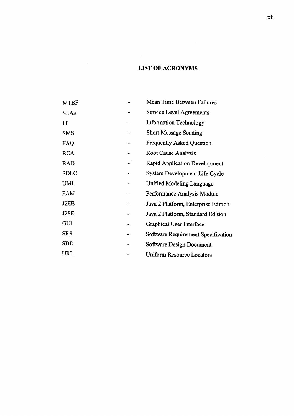# **LIST OF ACRONYMS**

 $\mathcal{L}^{\text{max}}_{\text{max}}$  and  $\mathcal{L}^{\text{max}}_{\text{max}}$ 

| <b>MTBF</b> | Mean Time Between Failures          |
|-------------|-------------------------------------|
| <b>SLAs</b> | <b>Service Level Agreements</b>     |
| IT          | <b>Information Technology</b>       |
| <b>SMS</b>  | <b>Short Message Sending</b>        |
| FAQ         | <b>Frequently Asked Question</b>    |
| <b>RCA</b>  | <b>Root Cause Analysis</b>          |
| <b>RAD</b>  | Rapid Application Development       |
| <b>SDLC</b> | System Development Life Cycle       |
| <b>UML</b>  | <b>Unified Modeling Language</b>    |
| PAM         | Performance Analysis Module         |
| J2EE        | Java 2 Platform, Enterprise Edition |
| J2SE        | Java 2 Platform, Standard Edition   |
| <b>GUI</b>  | Graphical User Interface            |
| <b>SRS</b>  | Software Requirement Specification  |
| SDD         | Software Design Document            |
| URL         | Uniform Resource Locators           |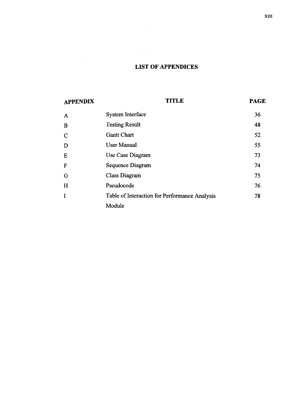## **LIST OF APPENDICES**

 $\label{eq:2} \frac{1}{2} \int_{\mathbb{R}^3} \left| \frac{d\mu}{d\mu} \right|^2 \, d\mu = \frac{1}{2} \int_{\mathbb{R}^3} \left| \frac{d\mu}{d\mu} \right|^2 \, d\mu = \frac{1}{2} \int_{\mathbb{R}^3} \left| \frac{d\mu}{d\mu} \right|^2 \, d\mu.$ 

 $\mathcal{L}_{\text{max}}$  ,  $\mathcal{L}_{\text{max}}$ 

| <b>APPENDIX</b>         | <b>TITLE</b>                                  | <b>PAGE</b> |
|-------------------------|-----------------------------------------------|-------------|
| A                       | System Interface                              | 36          |
| B                       | <b>Testing Result</b>                         | 48          |
| $\overline{\mathsf{C}}$ | <b>Gantt Chart</b>                            | 52          |
| D                       | <b>User Manual</b>                            | 55          |
| E                       | Use Case Diagram                              | 73          |
| F                       | Sequence Diagram                              | 74          |
| Ġ                       | Class Diagram                                 | 75          |
| H                       | Pseudocode                                    | 76          |
| I                       | Table of Interaction for Performance Analysis | 78          |
|                         | Module                                        |             |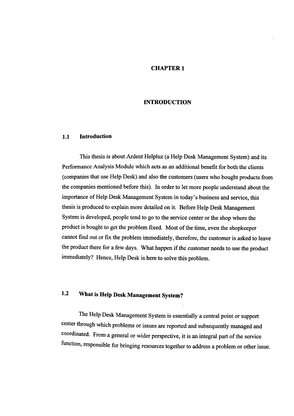## **CHAPTER 1**

## **INTRODUCTION**

#### **1.1 Introduction**

This thesis is about Ardent Helpluz (a Help Desk Management System) and its Performance Analysis Module which acts as an additional benefit for both the clients (companies that use Help Desk) and also the customers (users who bought products from the companies mentioned before this). In order to let more people understand about the importance of Help Desk Management System in today's business and service, this thesis is produced to explain more detailed on it. Before Help Desk Management System is developed, people tend to go to the service center or the shop where the product is bought to get the problem fixed. Most of the time, even the shopkeeper cannot find out or fix the problem immediately, therefore, the customer is asked to leave the product there for a few days. What happen if the customer needs to use the product immediately? Hence, Help Desk is here to solve this problem.

# **1.2 What is Help Desk Management System?**

The Help Desk Management System is essentially a central point or support center through which problems or issues are reported and subsequently managed and coordinated. From a general or wider perspective, it is an integral part of the service function, responsible for bringing resources together to address a problem or other issue.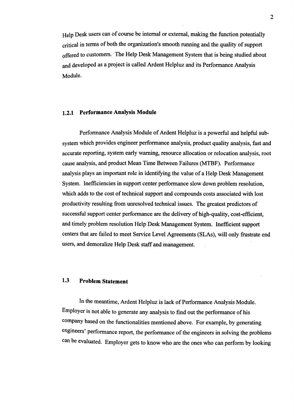Help Desk users can of course be internal or external, making the function potentially critical in terms of both the organization's smooth running and the quality of support offered to customers. The Help **Desk** Management System that is being studied about and developed as a project is called Ardent Helpluz and its Performance Analysis Module.

#### **1.2.1 Performance Analysis Module**

Performance Analysis Module of Ardent Helpluz is a powerful and helpful subsystem which provides engineer performance analysis, product quality analysis, fast and accurate reporting, system early warning, resource allocation or relocation analysis, root cause analysis, and product Mean Time Between Failures (MTBF). Performance analysis plays an important role in identifying the value of a Help Desk Management System. Inefficiencies in support center performance slow down problem resolution, which adds to the cost of technical support and compounds costs associated with lost productivity resulting from unresolved technical issues. The greatest predictors of successful support center performance are the delivery of high-quality, cost-efficient, and timely problem resolution Help **Desk** Management System. Inefficient support centers that are failed to meet Service Level Agreements (SLAs), will only frustrate end users, and demoralize Help Desk staff and management.

## **1.3 Problem Statement**

In the meantime, Ardent Helpluz is lack of Performance Analysis Module. Employer is not able to generate any analysis to find out the performance of his company based on the functionalities mentioned above. For example, by generating engineers' performance report, the performance of the engineers in solving the problems can be evaluated. Employer gets to know who are the ones who can perform by looking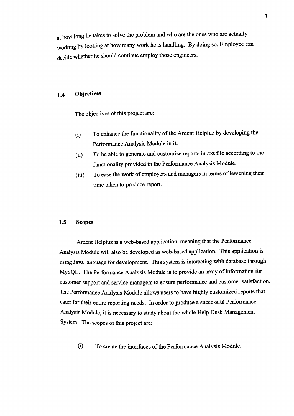at how long he takes to solve the problem and who are the ones who are actually working by looking at how many work he is handling. By doing so, Employee can decide whether he should continue employ those engineers.

## **1.4 Objectives**

The objectives of this project are:

- (i) To enhance the functionality of the Ardent Helpluz by developing the Performance Analysis Module in it.
- (ii) To be able to generate and customize reports in .txt file according to the functionality provided in the Performance Analysis Module.
- (iii) To ease the work of employers and managers in terms of lessening their time taken to produce report.

#### **1.5 Scopes**

Ardent Helpluz is a web-based application, meaning that the Performance Analysis Module will also be developed as web-based application. This application is using Java language for development. This system is interacting with database through MySQL. The Performance Analysis Module is to provide an array of information for customer support and service managers to ensure performance and customer satisfaction. The Performance Analysis Module allows users to have highly customized reports that cater for their entire reporting needs. In order to produce a successful Performance Analysis Module, it is necessary to study about the whole Help Desk Management System. The scopes of this project are:

(i) To create the interfaces of the Performance Analysis Module.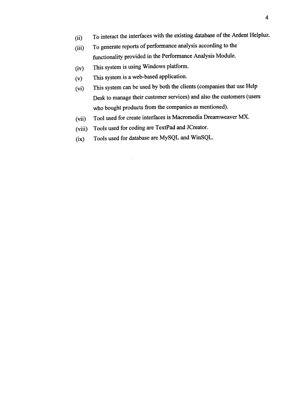- (ii) To interact the interfaces with the existing database of the Ardent Helpluz.
- (iii) To generate reports of performance analysis according to the functionality provided in the Performance Analysis Module.
- (iv) This system is using Windows platform.
- (v) This system is a web-based application.
- (vi) This system can be used by both the clients (companies that use Help Desk to manage their customer services) and also the customers (users who bought products from the companies as mentioned).
- (vii) Tool used for create interfaces is Macromedia Dreamweaver MX.

 $\mathcal{A}^{\mathcal{A}}$ 

(viii) Tools used for coding are TextPad and JCreator.

 $\hat{\boldsymbol{\beta}}$ 

(ix) Tools used for database are MySQL and WinSQL.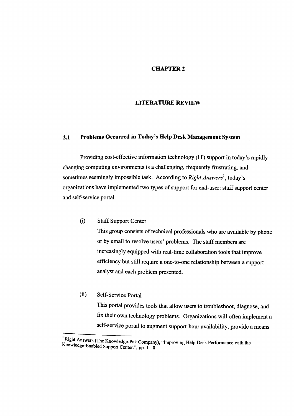## **CHAPTER** <sup>2</sup>

#### **LITERATURE REVIEW**

#### **2.1 Problems Occurred in Today's Help Desk Management System**

Providing cost-effective information technology (IT) support in today's rapidly changing computing environments is a challenging, frequently frustrating, and sometimes seemingly impossible task. According to *Right Answers' ,* today's organizations have implemented two types of support for end-user: staff support center and self-service portal.

(i) Staff Support Center

This group consists of technical professionals who are available by phone or by email to resolve users' problems. The staff members are increasingly equipped with real-time collaboration tools that improve efficiency but still require a one-to-one relationship between a support analyst and each problem presented.

(ii) Self-Service Portal

This portal provides tools that allow users to troubleshoot, diagnose, and fix their own technology problems. Organizations will often implement a self-service portal to augment support-hour availability, provide a means

<sup>&#</sup>x27;Right Answers (The Knowledge-Pak Company), "improving Help Desk Performance with the Knowledge-Enabled Support Center.", pp. 1 - 8.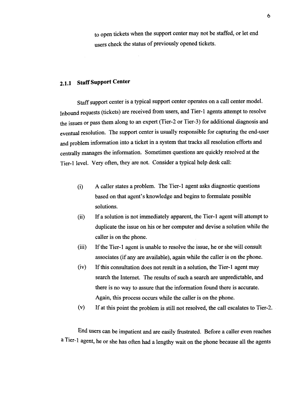to open tickets when the support center may not be staffed, or let end users check the status of previously opened tickets.

# **2.1.1 Staff Support Center**

Staff support center is a typical support center operates on a call center model. Inbound requests (tickets) are received from users, and Tier-1 agents attempt to resolve the issues or pass them along to an expert (Tier-2 or Tier-3) for additional diagnosis and eventual resolution. The support center is usually responsible for capturing the end-user and problem information into a ticket in a system that tracks all resolution efforts and centrally manages the information. Sometimes questions are quickly resolved at the Tier-I level. Very often, they are not. Consider a typical help desk call:

- (i) A caller states a problem. The Tier-i agent asks diagnostic questions based on that agent's knowledge and begins to formulate possible solutions.
- (ii) If a solution is not immediately apparent, the Tier-1 agent will attempt to duplicate the issue on his or her computer and devise a solution while the caller is on the phone.
- (iii) If the Tier-i agent is unable to resolve the issue, he or she will consult associates (if any are available), again while the caller is on the phone.
- (iv) If this consultation does not result in a solution, the Tier-1 agent may search the Internet. The results of such a search are unpredictable, and there is no way to assure that the information found there is accurate. Again, this process occurs while the caller is on the phone.
- (v) If at this point the problem is still not resolved, the call escalates to Tier-2.

End users can be impatient and are easily frustrated. Before a caller even reaches a Tier-1 agent, he or she has often had a lengthy wait on the phone because all the agents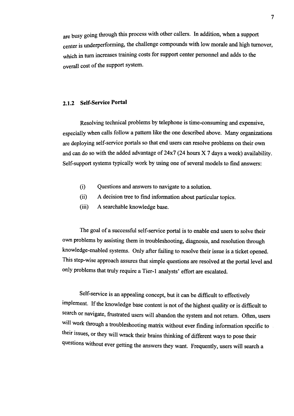are busy going through this process with other callers. In addition, when a support center is underperforming, the challenge compounds with low morale and high turnover, which in turn increases training costs for support center personnel and adds to the overall cost of the support system.

## *2.1.2 Self-Service Portal*

Resolving technical problems by telephone is time-consuming and expensive, especially when calls follow a pattern like the one described above. Many organizations are deploying self-service portals so that end users can resolve problems on their own and can do so with the added advantage of 24x7 (24 hours X 7 days a week) availability. Self-support systems typically work by using one of several models to find answers:

- (i) Questions and answers to navigate to a solution.
- (ii) A decision tree to find information about particular topics.
- (iii) A searchable knowledge base.

The goal of a successful self-service portal is to enable end users to solve their own problems by assisting them in troubleshooting, diagnosis, and resolution through knowledge-enabled systems. Only after failing to resolve their issue is a ticket opened. This step-wise approach assures that simple questions are resolved at the portal level and only problems that truly require a Tier-1 analysts' effort are escalated.

Self-service is an appealing concept, but it can be difficult to effectively implement. If the knowledge base content is not of the highest quality or is difficult to search or navigate, frustrated users will abandon the system and not return. Often, users will work through a troubleshooting matrix without ever finding information specific to their issues, or they will wrack their brains thinking of different ways to pose their q uestions without ever getting the answers they want. Frequently, users will search a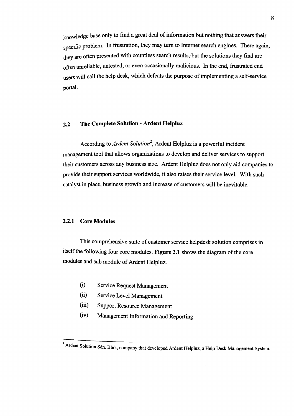knowledge base only to find a great deal of information but nothing that answers their specific problem. In frustration, they may turn to Internet search engines. There again, they are often presented with countless search results, but the solutions they find are often unreliable, untested, or even occasionally malicious. In the end, frustrated end users will call the help desk, which defeats the purpose of implementing a self-service portal.

## **2.2 The Complete Solution - Ardent Helpluz**

According to *Ardent Solution2,* Ardent Helpluz is a powerful incident management tool that allows organizations to develop and deliver services to support their customers across any business size. Ardent Helpluz does not only aid companies to provide their support services worldwide, it also raises their service level. With such catalyst in place, business growth and increase of customers will be inevitable.

## **2.2.1 Core Modules**

This comprehensive suite of customer service helpdesk solution comprises in itself the following four core modules. **Figure 2.1** shows the diagram of the core modules and sub module of Ardent Helpluz.

- (i) Service Request Management
- (ii) Service Level Management
- $(iii)$ Support Resource Management
- (iv) Management Information and Reporting

<sup>&</sup>lt;sup>2</sup> Ardent Solution Sdn. Bhd., company that developed Ardent Helpluz, a Help Desk Management System.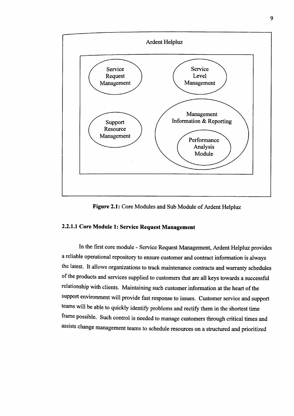

**Figure 2.1:** Core Modules and Sub Module of Ardent Helpluz

## **2.2.1.1 Core Module 1: Service Request Management**

In the first core module - Service Request Management, Ardent Helpluz provides a reliable operational repository to ensure customer and contract information is always the latest. It allows organizations to track maintenance contracts and warranty schedules of the products and services supplied to customers that are all keys towards a successful relationship with clients. Maintaining such customer information at the heart of the support environment will provide fast response to issues. Customer service and support teams will be able to quickly identify problems and rectify them in the shortest time frame possible. Such control is needed to manage customers through critical times and assists change management teams to schedule resources on a structured and prioritized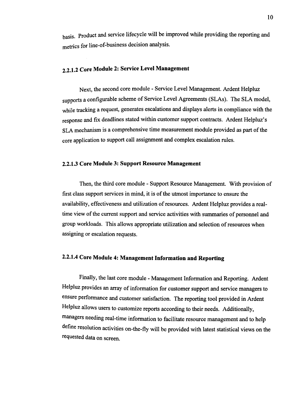basis. Product and service lifecycle will be improved while providing the reporting and metrics for line-of-business decision analysis.

# **2.2.1.2 Core Module 2: Service Level Management**

Next, the second core module - Service Level Management. Ardent Helpluz supports a configurable scheme of Service Level Agreements (SLAs). The SLA model, while tracking a request, generates escalations and displays alerts in compliance with the response and fix deadlines stated within customer support contracts. Ardent Helpluz's SLA mechanism is a comprehensive time measurement module provided as part of the core application to support call assignment and complex escalation rules.

#### **2.2.13 Core Module 3: Support Resource Management**

Then, the third core module - Support Resource Management. With provision of first class support services in mind, it is of the utmost importance to ensure the availability, effectiveness and utilization of resources. Ardent Helpluz provides a realtime view of the current support and service activities with summaries of personnel and group workloads. This allows appropriate utilization and selection of resources when assigning or escalation requests.

## **2.2.1.4 Core Module 4: Management Information and Reporting**

Finally, the last core module - Management Information and Reporting. Ardent Helpluz provides an array of information for customer support and service managers to ensure performance and customer satisfaction. The reporting tool provided in Ardent Helpluz allows users to customize reports according to their needs. Additionally, managers needing real-time information to facilitate resource management and to help define resolution activities on-the-fly will be provided with latest statistical views on the requested data on screen.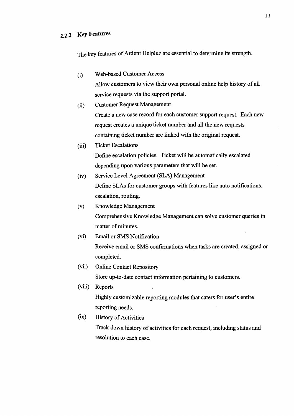The key features of Ardent Helpluz are essential to determine its strength.

(i) Web-based Customer Access

Allow customers to view their own personal online help history of all service requests via the support portal.

- (ii) Customer Request Management Create a new case record for each customer support request. Each new request creates a unique ticket number and all the new requests containing ticket number are linked with the original request.
- (iii) Ticket Escalations Define escalation policies. Ticket will be automatically escalated depending upon various parameters that will be set.
- (iv) Service Level Agreement (SLA) Management Define SLAs for customer groups with features like auto notifications, escalation, routing.
- (v) Knowledge Management Comprehensive Knowledge Management can solve customer queries in matter of minutes.
- (vi) Email or SMS Notification Receive email or SMS confirmations when tasks are created, assigned or completed.
- (vii) Online Contact Repository Store up-to-date contact information pertaining to customers.
- (viii) Reports Highly customizable reporting modules that caters for user's entire reporting needs.
- (ix) History of Activities

Track down history of activities for each request, including status and resolution to each case.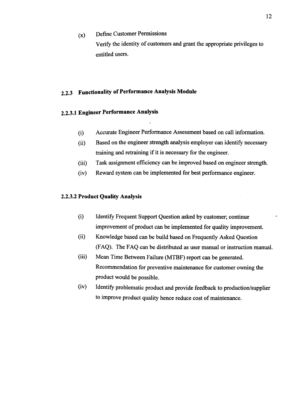(x) Define Customer Permissions Verify the identity of customers and grant the appropriate privileges to entitled users.

# 2.2.3 **Functionality of Performance Analysis Module**

## **2.2.3.1 Engineer Performance Analysis**

- (i) Accurate Engineer Performance Assessment based on call information.
- (ii) Based on the engineer strength analysis employer can identify necessary training and retraining if it is necessary for the engineer.
- (iii) Task assignment efficiency can be improved based on engineer strength.
- (iv) Reward system can be implemented for best performance engineer.

## 2.2.3.2 **Product Quality Analysis**

- (i) Identify Frequent Support Question asked by customer; continue improvement of product can be implemented for quality improvement.
- (ii) Knowledge based can be build based on Frequently Asked Question (FAQ). The FAQ can be distributed as user manual or instruction manual.
- (iii) Mean Time Between Failure (MTBF) report can be generated. Recommendation for preventive maintenance for customer owning the product would be possible.
- (iv) Identify problematic product and provide feedback to production/supplier to improve product quality hence reduce cost of maintenance.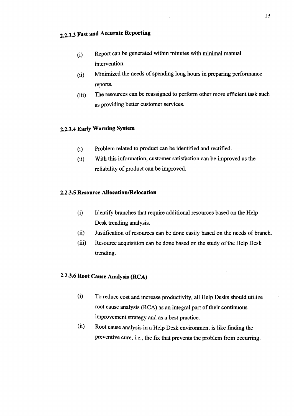- (i) Report can be generated within minutes with minimal manual intervention.
- (ii) Minimized the needs of spending long hours in preparing performance reports.
- The resources can be reassigned to perform other more efficient task such  $(iii)$ as providing better customer services.

## **2.2.3.4 Early Warning System**

- (i) Problem related to product can be identified and rectified.
- (ii) With this information, customer satisfaction can be improved as the reliability of product can be improved.

## **2.2.3.5 Resource Allocation/Relocation**

- (i) Identify branches that require additional resources based on the Help Desk trending analysis.
- (ii) Justification of resources can be done easily based on the needs of branch.
- (iii) Resource acquisition can be done based on the study of the Help Desk trending.

## **2.2.3.6 Root Cause Analysis (RCA)**

- (i) To reduce cost and increase productivity, all Help Desks should utilize root cause analysis (RCA) as an integral part of their continuous improvement strategy and as a best practice.
- (ii) Root cause analysis in a Help Desk environment is like finding the preventive cure, i.e., the fix that prevents the problem from occurring.